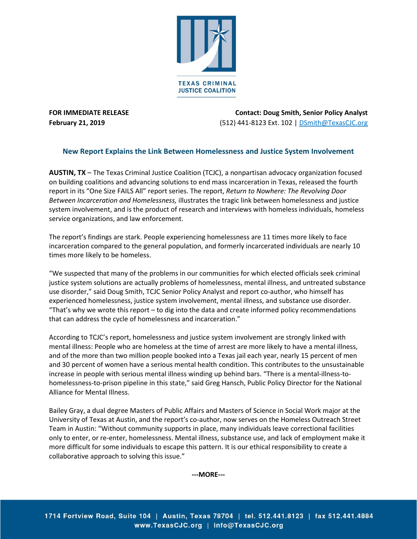

**FOR IMMEDIATE RELEASE Contact: Doug Smith, Senior Policy Analyst February 21, 2019** (512) 441-8123 Ext. 102 [| DSmith@TexasCJC.org](mailto:DSmith@TexasCJC.org) 

## **New Report Explains the Link Between Homelessness and Justice System Involvement**

**AUSTIN, TX** – The Texas Criminal Justice Coalition (TCJC), a nonpartisan advocacy organization focused on building coalitions and advancing solutions to end mass incarceration in Texas, released the fourth report in its "One Size FAILS All" report series. The report, *Return to Nowhere: The Revolving Door Between Incarceration and Homelessness,* illustrates the tragic link between homelessness and justice system involvement, and is the product of research and interviews with homeless individuals, homeless service organizations, and law enforcement.

The report's findings are stark. People experiencing homelessness are 11 times more likely to face incarceration compared to the general population, and formerly incarcerated individuals are nearly 10 times more likely to be homeless.

"We suspected that many of the problems in our communities for which elected officials seek criminal justice system solutions are actually problems of homelessness, mental illness, and untreated substance use disorder," said Doug Smith, TCJC Senior Policy Analyst and report co-author, who himself has experienced homelessness, justice system involvement, mental illness, and substance use disorder. "That's why we wrote this report – to dig into the data and create informed policy recommendations that can address the cycle of homelessness and incarceration."

According to TCJC's report, homelessness and justice system involvement are strongly linked with mental illness: People who are homeless at the time of arrest are more likely to have a mental illness, and of the more than two million people booked into a Texas jail each year, nearly 15 percent of men and 30 percent of women have a serious mental health condition. This contributes to the unsustainable increase in people with serious mental illness winding up behind bars. "There is a mental-illness-tohomelessness-to-prison pipeline in this state," said Greg Hansch, Public Policy Director for the National Alliance for Mental Illness.

Bailey Gray, a dual degree Masters of Public Affairs and Masters of Science in Social Work major at the University of Texas at Austin, and the report's co-author, now serves on the Homeless Outreach Street Team in Austin: "Without community supports in place, many individuals leave correctional facilities only to enter, or re-enter, homelessness. Mental illness, substance use, and lack of employment make it more difficult for some individuals to escape this pattern. It is our ethical responsibility to create a collaborative approach to solving this issue."

**---MORE---**

1714 Fortview Road, Suite 104 | Austin, Texas 78704 | tel. 512.441.8123 | fax 512.441.4884 www.TexasCJC.org | info@TexasCJC.org